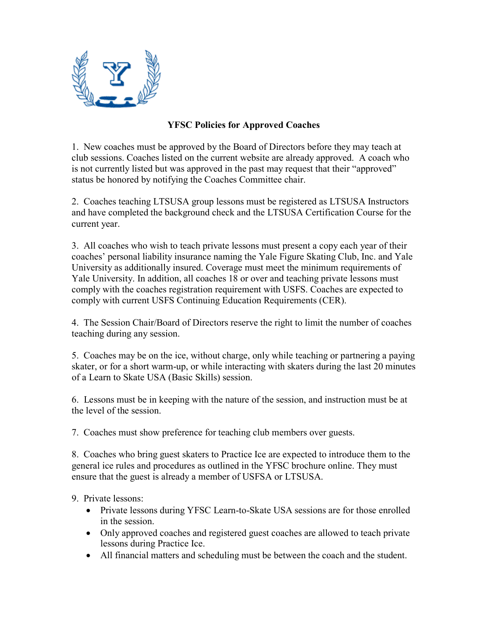

## **YFSC Policies for Approved Coaches**

1. New coaches must be approved by the Board of Directors before they may teach at club sessions. Coaches listed on the current website are already approved. A coach who is not currently listed but was approved in the past may request that their "approved" status be honored by notifying the Coaches Committee chair.

2. Coaches teaching LTSUSA group lessons must be registered as LTSUSA Instructors and have completed the background check and the LTSUSA Certification Course for the current year.

3. All coaches who wish to teach private lessons must present a copy each year of their coaches' personal liability insurance naming the Yale Figure Skating Club, Inc. and Yale University as additionally insured. Coverage must meet the minimum requirements of Yale University. In addition, all coaches 18 or over and teaching private lessons must comply with the coaches registration requirement with USFS. Coaches are expected to comply with current USFS Continuing Education Requirements (CER).

4. The Session Chair/Board of Directors reserve the right to limit the number of coaches teaching during any session.

5. Coaches may be on the ice, without charge, only while teaching or partnering a paying skater, or for a short warm-up, or while interacting with skaters during the last 20 minutes of a Learn to Skate USA (Basic Skills) session.

6. Lessons must be in keeping with the nature of the session, and instruction must be at the level of the session.

7. Coaches must show preference for teaching club members over guests.

8. Coaches who bring guest skaters to Practice Ice are expected to introduce them to the general ice rules and procedures as outlined in the YFSC brochure online. They must ensure that the guest is already a member of USFSA or LTSUSA.

9. Private lessons:

- Private lessons during YFSC Learn-to-Skate USA sessions are for those enrolled in the session.
- Only approved coaches and registered guest coaches are allowed to teach private lessons during Practice Ice.
- All financial matters and scheduling must be between the coach and the student.